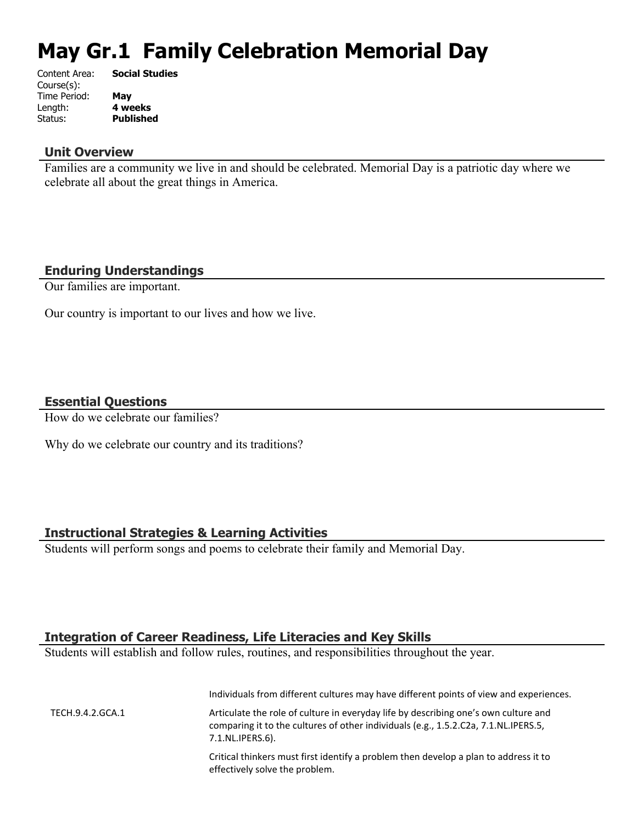# **May Gr.1 Family Celebration Memorial Day**

| Content Area: | <b>Social Studies</b> |
|---------------|-----------------------|
| Course(s):    |                       |
| Time Period:  | May                   |
| Length:       | 4 weeks               |
| Status:       | <b>Published</b>      |
|               |                       |

#### **Unit Overview**

Families are a community we live in and should be celebrated. Memorial Day is a patriotic day where we celebrate all about the great things in America.

## **Enduring Understandings**

Our families are important.

Our country is important to our lives and how we live.

#### **Essential Questions**

How do we celebrate our families?

Why do we celebrate our country and its traditions?

### **Instructional Strategies & Learning Activities**

Students will perform songs and poems to celebrate their family and Memorial Day.

# **Integration of Career Readiness, Life Literacies and Key Skills**

Students will establish and follow rules, routines, and responsibilities throughout the year.

|                  | Individuals from different cultures may have different points of view and experiences.                                                                                                         |
|------------------|------------------------------------------------------------------------------------------------------------------------------------------------------------------------------------------------|
| TECH.9.4.2.GCA.1 | Articulate the role of culture in everyday life by describing one's own culture and<br>comparing it to the cultures of other individuals (e.g., 1.5.2.C2a, 7.1.NL.IPERS.5,<br>7.1.NL.IPERS.6). |
|                  | Critical thinkers must first identify a problem then develop a plan to address it to<br>effectively solve the problem.                                                                         |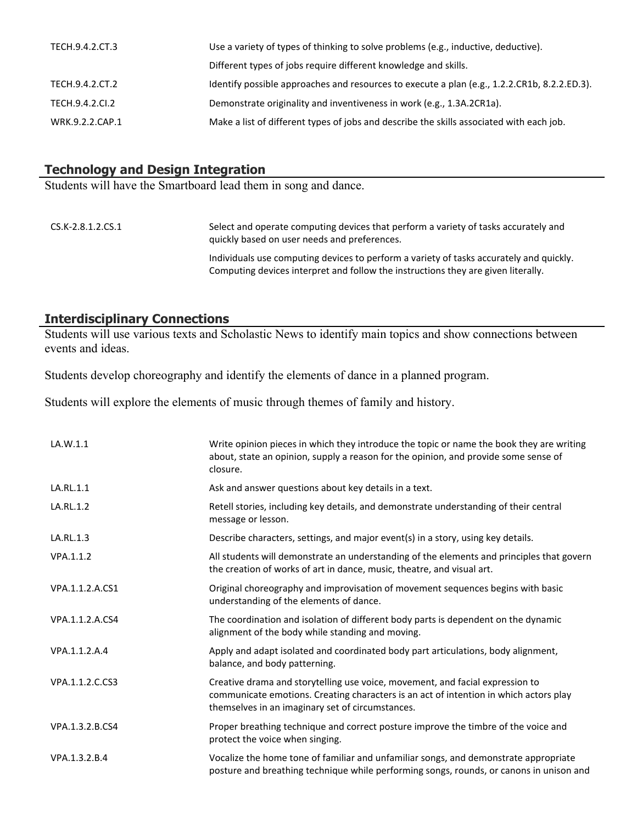| Use a variety of types of thinking to solve problems (e.g., inductive, deductive).           |
|----------------------------------------------------------------------------------------------|
| Different types of jobs require different knowledge and skills.                              |
| Identify possible approaches and resources to execute a plan (e.g., 1.2.2.CR1b, 8.2.2.ED.3). |
| Demonstrate originality and inventiveness in work (e.g., 1.3A.2CR1a).                        |
| Make a list of different types of jobs and describe the skills associated with each job.     |
|                                                                                              |

# **Technology and Design Integration**

Students will have the Smartboard lead them in song and dance.

| CS.K-2.8.1.2.CS.1 | Select and operate computing devices that perform a variety of tasks accurately and<br>quickly based on user needs and preferences.                                          |
|-------------------|------------------------------------------------------------------------------------------------------------------------------------------------------------------------------|
|                   | Individuals use computing devices to perform a variety of tasks accurately and quickly.<br>Computing devices interpret and follow the instructions they are given literally. |

# **Interdisciplinary Connections**

Students will use various texts and Scholastic News to identify main topics and show connections between events and ideas.

Students develop choreography and identify the elements of dance in a planned program.

Students will explore the elements of music through themes of family and history.

| LA.W.1.1        | Write opinion pieces in which they introduce the topic or name the book they are writing<br>about, state an opinion, supply a reason for the opinion, and provide some sense of<br>closure.                                |
|-----------------|----------------------------------------------------------------------------------------------------------------------------------------------------------------------------------------------------------------------------|
| LA.RL.1.1       | Ask and answer questions about key details in a text.                                                                                                                                                                      |
| LA.RL.1.2       | Retell stories, including key details, and demonstrate understanding of their central<br>message or lesson.                                                                                                                |
| LA.RL.1.3       | Describe characters, settings, and major event(s) in a story, using key details.                                                                                                                                           |
| VPA.1.1.2       | All students will demonstrate an understanding of the elements and principles that govern<br>the creation of works of art in dance, music, theatre, and visual art.                                                        |
| VPA.1.1.2.A.CS1 | Original choreography and improvisation of movement sequences begins with basic<br>understanding of the elements of dance.                                                                                                 |
| VPA.1.1.2.A.CS4 | The coordination and isolation of different body parts is dependent on the dynamic<br>alignment of the body while standing and moving.                                                                                     |
| VPA.1.1.2.A.4   | Apply and adapt isolated and coordinated body part articulations, body alignment,<br>balance, and body patterning.                                                                                                         |
| VPA.1.1.2.C.CS3 | Creative drama and storytelling use voice, movement, and facial expression to<br>communicate emotions. Creating characters is an act of intention in which actors play<br>themselves in an imaginary set of circumstances. |
| VPA.1.3.2.B.CS4 | Proper breathing technique and correct posture improve the timbre of the voice and<br>protect the voice when singing.                                                                                                      |
| VPA.1.3.2.B.4   | Vocalize the home tone of familiar and unfamiliar songs, and demonstrate appropriate<br>posture and breathing technique while performing songs, rounds, or canons in unison and                                            |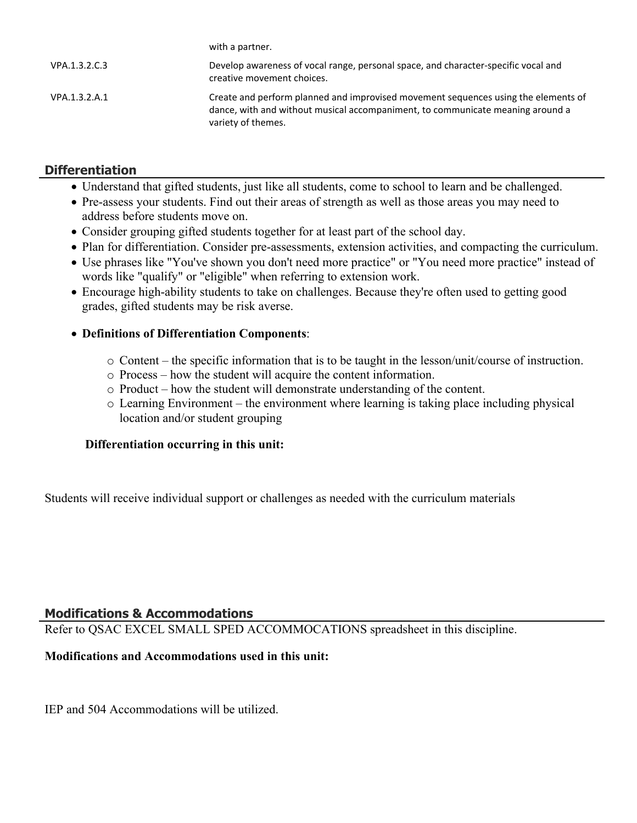|               | with a partner.                                                                                                                                                                            |
|---------------|--------------------------------------------------------------------------------------------------------------------------------------------------------------------------------------------|
| VPA.1.3.2.C.3 | Develop awareness of vocal range, personal space, and character-specific vocal and<br>creative movement choices.                                                                           |
| VPA.1.3.2.A.1 | Create and perform planned and improvised movement sequences using the elements of<br>dance, with and without musical accompaniment, to communicate meaning around a<br>variety of themes. |

# **Differentiation**

- Understand that gifted students, just like all students, come to school to learn and be challenged.
- Pre-assess your students. Find out their areas of strength as well as those areas you may need to address before students move on.
- Consider grouping gifted students together for at least part of the school day.

with a partner.

- Plan for differentiation. Consider pre-assessments, extension activities, and compacting the curriculum.
- Use phrases like "You've shown you don't need more practice" or "You need more practice" instead of words like "qualify" or "eligible" when referring to extension work.
- Encourage high-ability students to take on challenges. Because they're often used to getting good grades, gifted students may be risk averse.

# **Definitions of Differentiation Components**:

- o Content the specific information that is to be taught in the lesson/unit/course of instruction.
- o Process how the student will acquire the content information.
- o Product how the student will demonstrate understanding of the content.
- o Learning Environment the environment where learning is taking place including physical location and/or student grouping

### **Differentiation occurring in this unit:**

Students will receive individual support or challenges as needed with the curriculum materials

# **Modifications & Accommodations**

Refer to QSAC EXCEL SMALL SPED ACCOMMOCATIONS spreadsheet in this discipline.

### **Modifications and Accommodations used in this unit:**

IEP and 504 Accommodations will be utilized.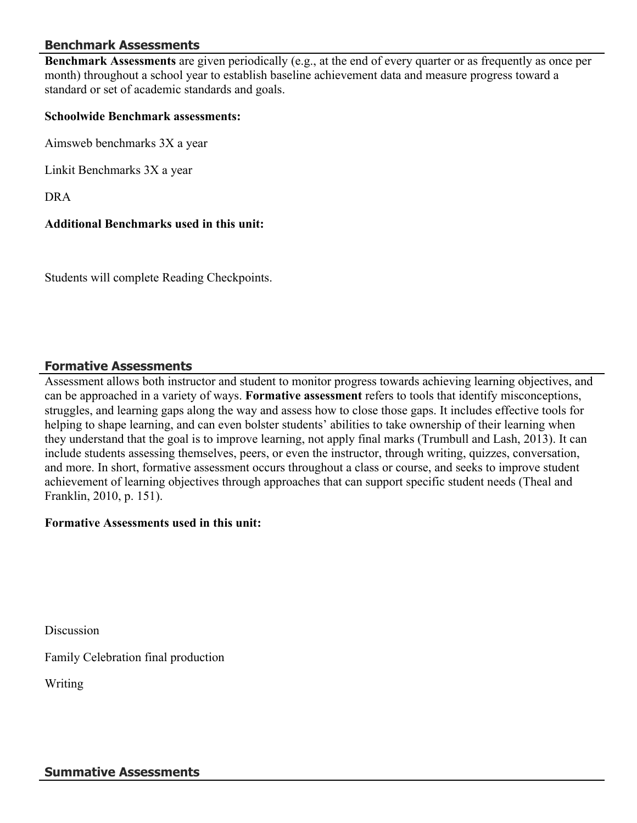# **Benchmark Assessments**

**Benchmark Assessments** are given periodically (e.g., at the end of every quarter or as frequently as once per month) throughout a school year to establish baseline achievement data and measure progress toward a standard or set of academic standards and goals.

#### **Schoolwide Benchmark assessments:**

Aimsweb benchmarks 3X a year

Linkit Benchmarks 3X a year

DRA

### **Additional Benchmarks used in this unit:**

Students will complete Reading Checkpoints.

#### **Formative Assessments**

Assessment allows both instructor and student to monitor progress towards achieving learning objectives, and can be approached in a variety of ways. **Formative assessment** refers to tools that identify misconceptions, struggles, and learning gaps along the way and assess how to close those gaps. It includes effective tools for helping to shape learning, and can even bolster students' abilities to take ownership of their learning when they understand that the goal is to improve learning, not apply final marks (Trumbull and Lash, 2013). It can include students assessing themselves, peers, or even the instructor, through writing, quizzes, conversation, and more. In short, formative assessment occurs throughout a class or course, and seeks to improve student achievement of learning objectives through approaches that can support specific student needs (Theal and Franklin, 2010, p. 151).

### **Formative Assessments used in this unit:**

**Discussion** 

Family Celebration final production

Writing